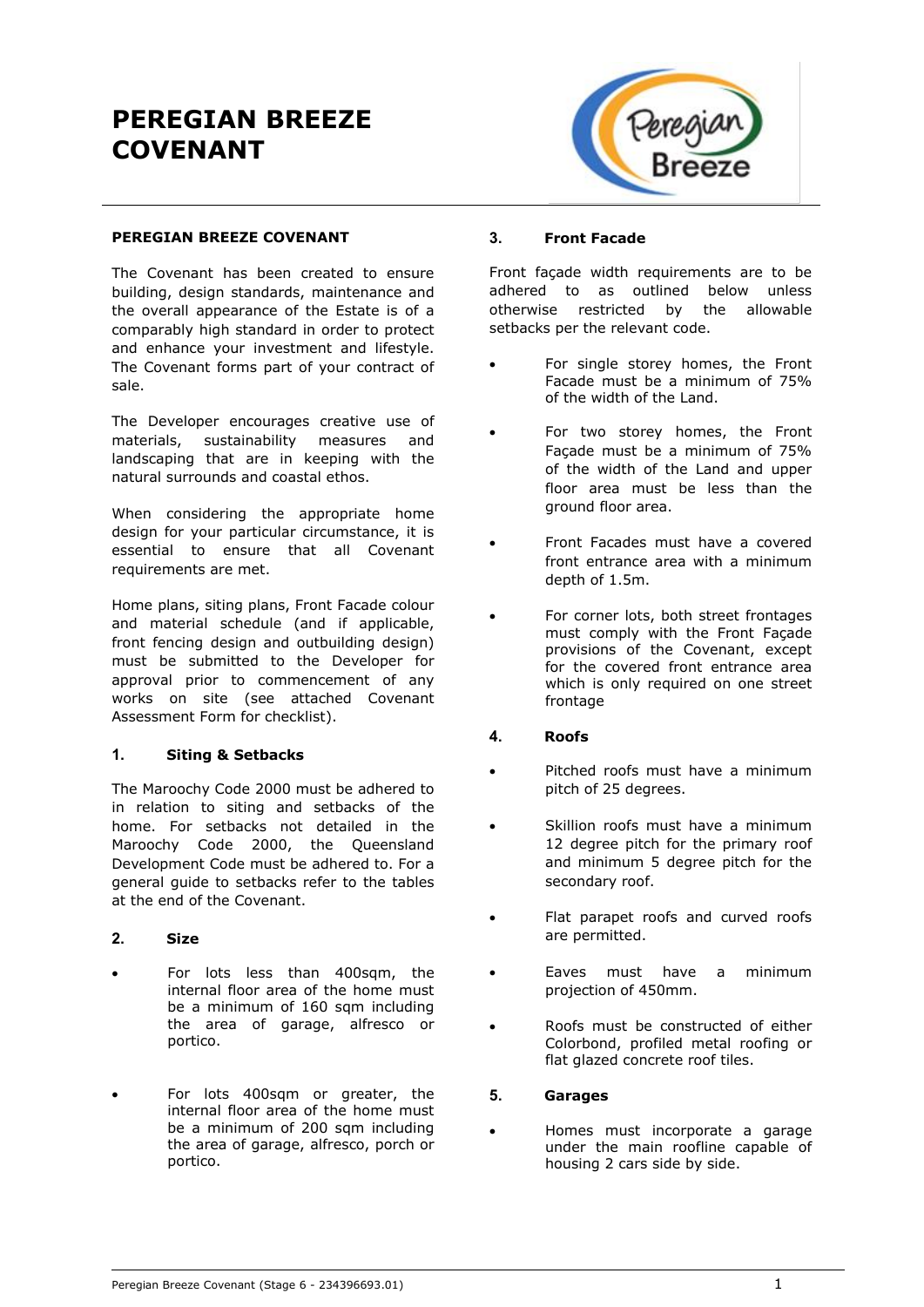# **PEREGIAN BREEZE COVENANT**



#### **PEREGIAN BREEZE COVENANT**

The Covenant has been created to ensure building, design standards, maintenance and the overall appearance of the Estate is of a comparably high standard in order to protect and enhance your investment and lifestyle. The Covenant forms part of your contract of sale.

The Developer encourages creative use of materials, sustainability measures and landscaping that are in keeping with the natural surrounds and coastal ethos.

When considering the appropriate home design for your particular circumstance, it is essential to ensure that all Covenant requirements are met.

Home plans, siting plans, Front Facade colour and material schedule (and if applicable, front fencing design and outbuilding design) must be submitted to the Developer for approval prior to commencement of any works on site (see attached Covenant Assessment Form for checklist).

# **1. Siting & Setbacks**

The Maroochy Code 2000 must be adhered to in relation to siting and setbacks of the home. For setbacks not detailed in the Maroochy Code 2000, the Queensland Development Code must be adhered to. For a general guide to setbacks refer to the tables at the end of the Covenant.

# **2. Size**

- For lots less than 400sqm, the internal floor area of the home must be a minimum of 160 sqm including the area of garage, alfresco or portico.
- For lots 400sqm or greater, the internal floor area of the home must be a minimum of 200 sqm including the area of garage, alfresco, porch or portico.

#### **3. Front Facade**

Front façade width requirements are to be adhered to as outlined below unless otherwise restricted by the allowable setbacks per the relevant code.

- For single storey homes, the Front Facade must be a minimum of 75% of the width of the Land.
- For two storey homes, the Front Façade must be a minimum of 75% of the width of the Land and upper floor area must be less than the ground floor area.
- Front Facades must have a covered front entrance area with a minimum depth of 1.5m.
- For corner lots, both street frontages must comply with the Front Façade provisions of the Covenant, except for the covered front entrance area which is only required on one street frontage

# **4. Roofs**

- Pitched roofs must have a minimum pitch of 25 degrees.
- Skillion roofs must have a minimum 12 degree pitch for the primary roof and minimum 5 degree pitch for the secondary roof.
- Flat parapet roofs and curved roofs are permitted.
- Eaves must have a minimum projection of 450mm.
- Roofs must be constructed of either Colorbond, profiled metal roofing or flat glazed concrete roof tiles.

#### **5. Garages**

 Homes must incorporate a garage under the main roofline capable of housing 2 cars side by side.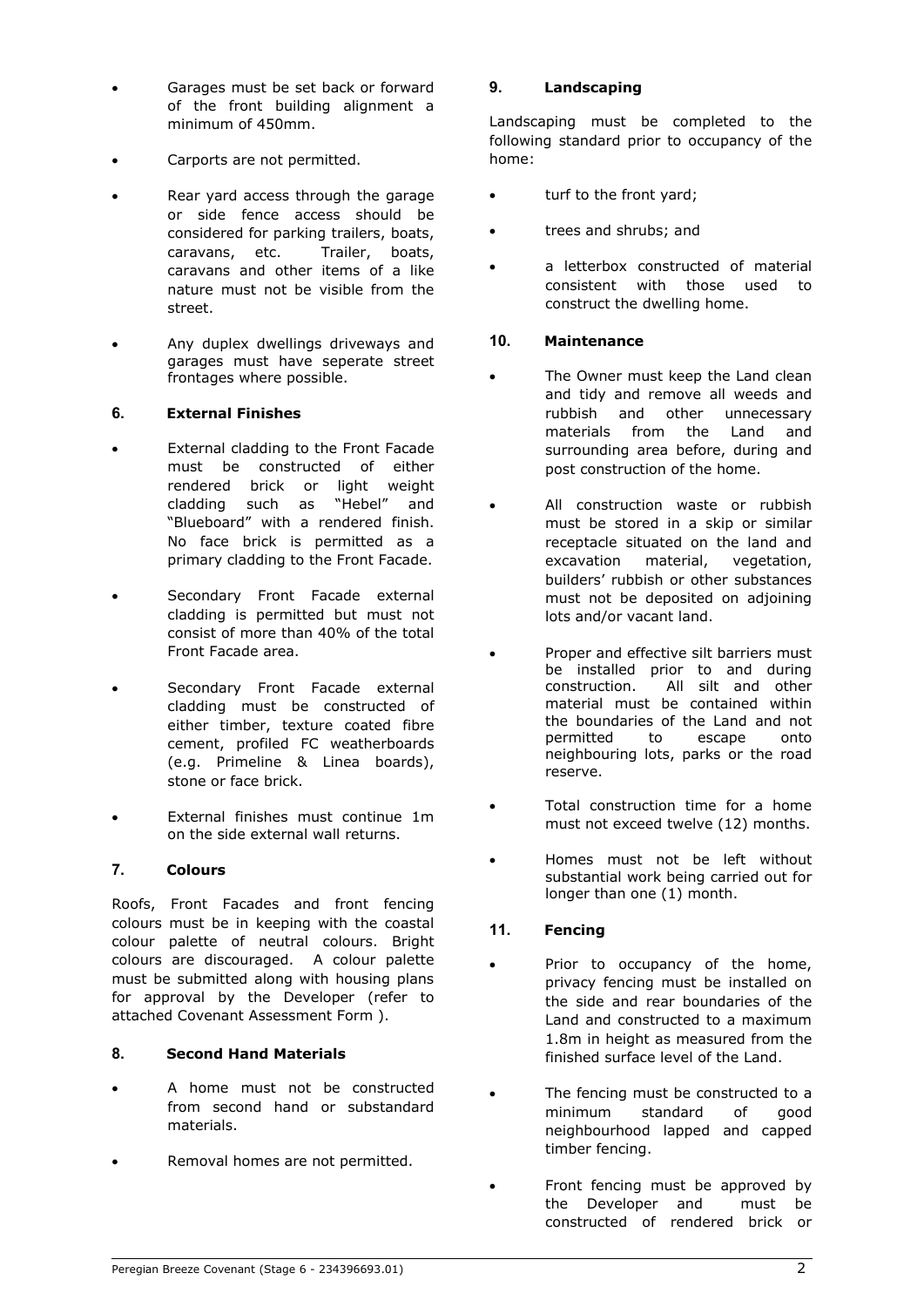- Garages must be set back or forward of the front building alignment a minimum of 450mm.
- Carports are not permitted.
- Rear yard access through the garage or side fence access should be considered for parking trailers, boats, caravans, etc. Trailer, boats, caravans and other items of a like nature must not be visible from the street.
- Any duplex dwellings driveways and garages must have seperate street frontages where possible.

# **6. External Finishes**

- External cladding to the Front Facade must be constructed of either rendered brick or light weight cladding such as "Hebel" and "Blueboard" with a rendered finish. No face brick is permitted as a primary cladding to the Front Facade.
- Secondary Front Facade external cladding is permitted but must not consist of more than 40% of the total Front Facade area.
- Secondary Front Facade external cladding must be constructed of either timber, texture coated fibre cement, profiled FC weatherboards (e.g. Primeline & Linea boards), stone or face brick.
- External finishes must continue 1m on the side external wall returns.

# **7. Colours**

Roofs, Front Facades and front fencing colours must be in keeping with the coastal colour palette of neutral colours. Bright colours are discouraged. A colour palette must be submitted along with housing plans for approval by the Developer (refer to attached Covenant Assessment Form ).

# **8. Second Hand Materials**

- A home must not be constructed from second hand or substandard materials.
- Removal homes are not permitted.

# **9. Landscaping**

Landscaping must be completed to the following standard prior to occupancy of the home:

- turf to the front yard;
- trees and shrubs; and
- a letterbox constructed of material consistent with those used to construct the dwelling home.

# **10. Maintenance**

- The Owner must keep the Land clean and tidy and remove all weeds and rubbish and other unnecessary materials from the Land and surrounding area before, during and post construction of the home.
- All construction waste or rubbish must be stored in a skip or similar receptacle situated on the land and excavation material, vegetation, builders' rubbish or other substances must not be deposited on adjoining lots and/or vacant land.
- Proper and effective silt barriers must be installed prior to and during construction. All silt and other material must be contained within the boundaries of the Land and not permitted to escape onto neighbouring lots, parks or the road reserve.
- Total construction time for a home must not exceed twelve (12) months.
- Homes must not be left without substantial work being carried out for longer than one (1) month.

# **11. Fencing**

- Prior to occupancy of the home, privacy fencing must be installed on the side and rear boundaries of the Land and constructed to a maximum 1.8m in height as measured from the finished surface level of the Land.
- The fencing must be constructed to a minimum standard of good neighbourhood lapped and capped timber fencing.
- Front fencing must be approved by the Developer and must be constructed of rendered brick or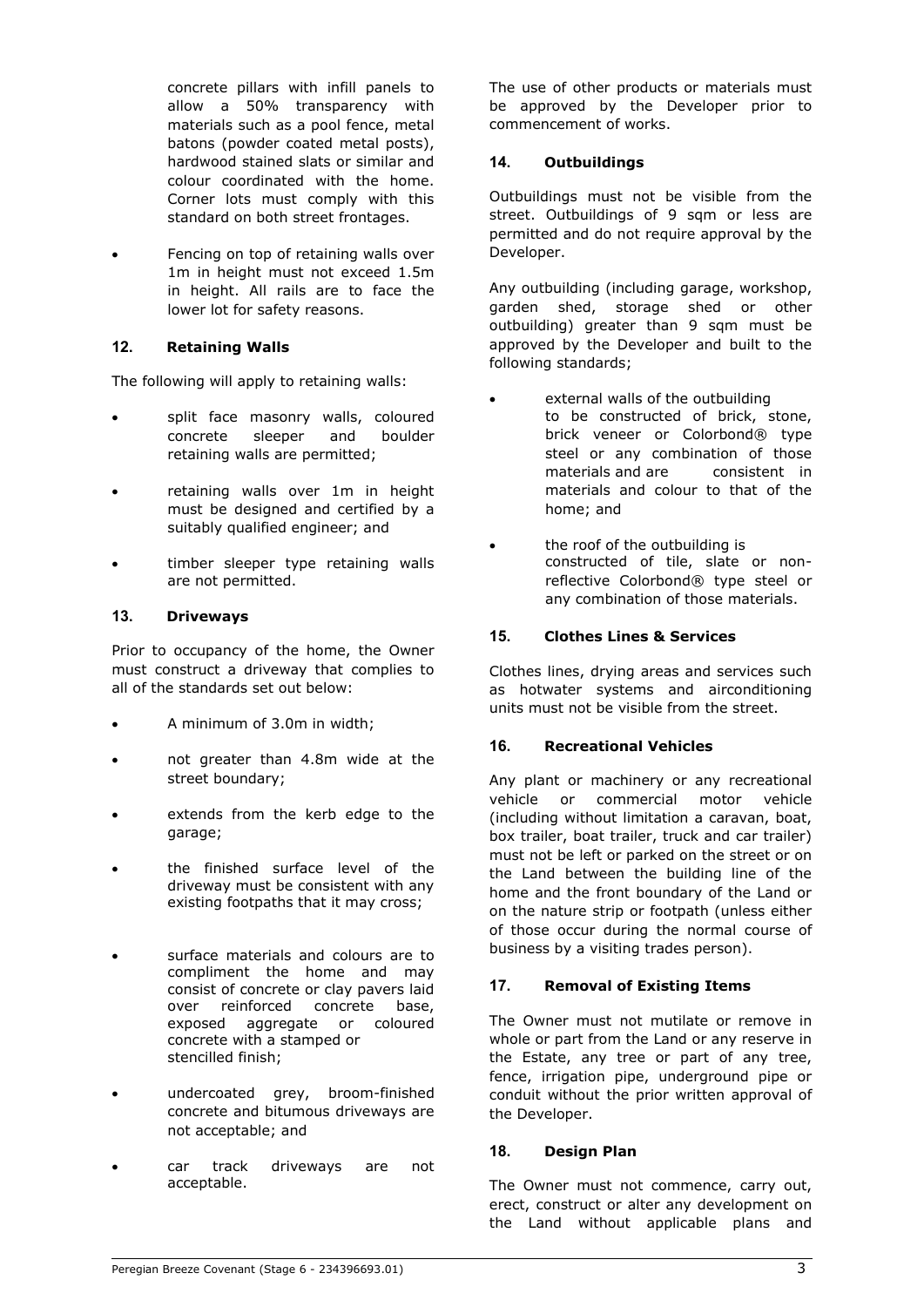concrete pillars with infill panels to allow a 50% transparency with materials such as a pool fence, metal batons (powder coated metal posts), hardwood stained slats or similar and colour coordinated with the home. Corner lots must comply with this standard on both street frontages.

 Fencing on top of retaining walls over 1m in height must not exceed 1.5m in height. All rails are to face the lower lot for safety reasons.

# **12. Retaining Walls**

The following will apply to retaining walls:

- split face masonry walls, coloured concrete sleeper and boulder retaining walls are permitted;
- retaining walls over 1m in height must be designed and certified by a suitably qualified engineer; and
- timber sleeper type retaining walls are not permitted.

#### **13. Driveways**

Prior to occupancy of the home, the Owner must construct a driveway that complies to all of the standards set out below:

- A minimum of 3.0m in width;
- not greater than 4.8m wide at the street boundary;
- extends from the kerb edge to the garage;
- the finished surface level of the driveway must be consistent with any existing footpaths that it may cross;
- surface materials and colours are to compliment the home and may consist of concrete or clay pavers laid over reinforced concrete base, exposed aggregate or coloured concrete with a stamped or stencilled finish;
- undercoated grey, broom-finished concrete and bitumous driveways are not acceptable; and
- car track driveways are not acceptable.

The use of other products or materials must be approved by the Developer prior to commencement of works.

## **14. Outbuildings**

Outbuildings must not be visible from the street. Outbuildings of 9 sam or less are permitted and do not require approval by the Developer.

Any outbuilding (including garage, workshop, garden shed, storage shed or other outbuilding) greater than 9 sqm must be approved by the Developer and built to the following standards;

- external walls of the outbuilding to be constructed of brick, stone, brick veneer or Colorbond® type steel or any combination of those materials and are consistent in materials and colour to that of the home; and
- the roof of the outbuilding is constructed of tile, slate or nonreflective Colorbond® type steel or any combination of those materials.

# **15. Clothes Lines & Services**

Clothes lines, drying areas and services such as hotwater systems and airconditioning units must not be visible from the street.

# **16. Recreational Vehicles**

Any plant or machinery or any recreational vehicle or commercial motor vehicle (including without limitation a caravan, boat, box trailer, boat trailer, truck and car trailer) must not be left or parked on the street or on the Land between the building line of the home and the front boundary of the Land or on the nature strip or footpath (unless either of those occur during the normal course of business by a visiting trades person).

# **17. Removal of Existing Items**

The Owner must not mutilate or remove in whole or part from the Land or any reserve in the Estate, any tree or part of any tree, fence, irrigation pipe, underground pipe or conduit without the prior written approval of the Developer.

#### **18. Design Plan**

The Owner must not commence, carry out, erect, construct or alter any development on the Land without applicable plans and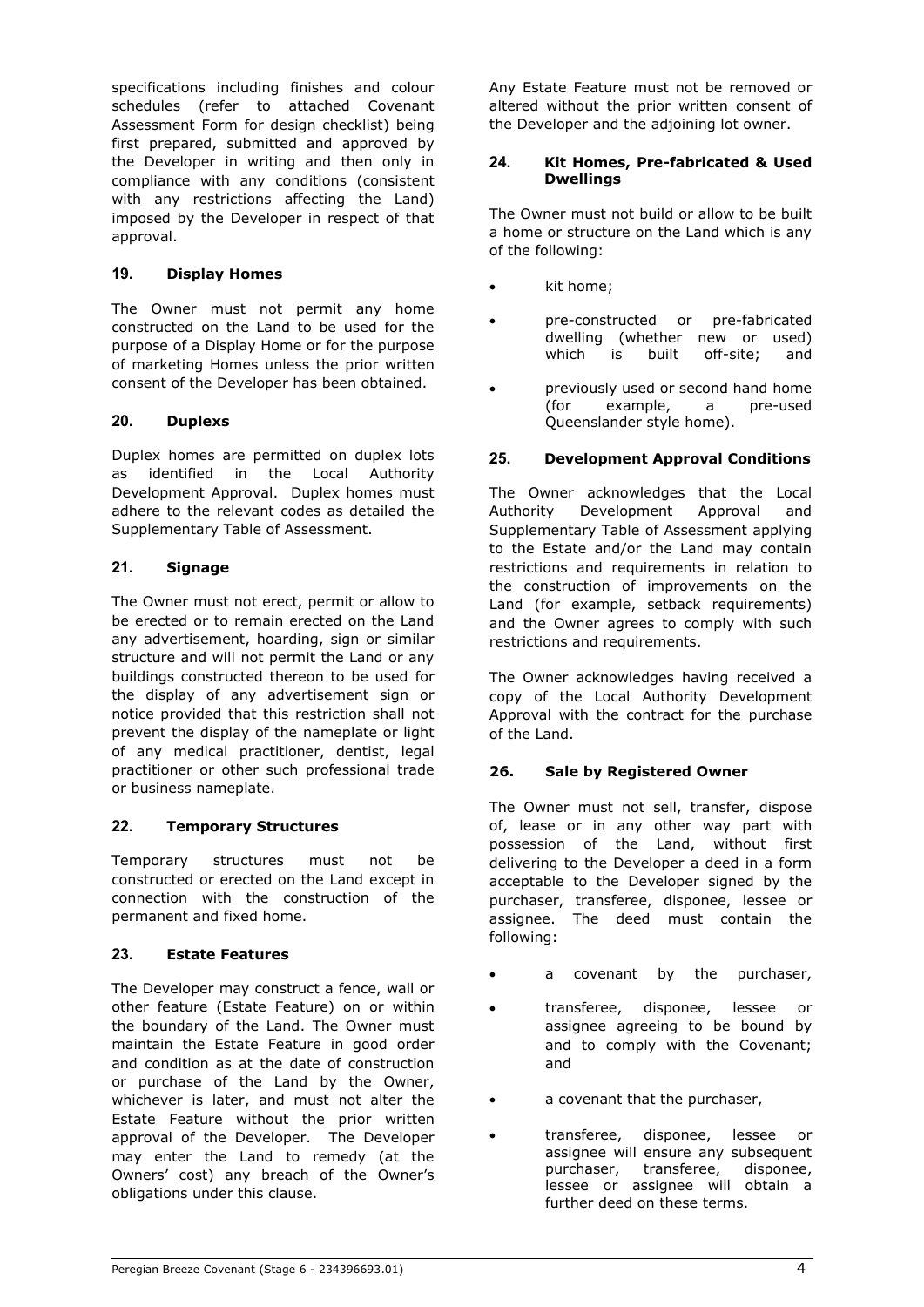specifications including finishes and colour schedules (refer to attached Covenant Assessment Form for design checklist) being first prepared, submitted and approved by the Developer in writing and then only in compliance with any conditions (consistent with any restrictions affecting the Land) imposed by the Developer in respect of that approval.

# **19. Display Homes**

The Owner must not permit any home constructed on the Land to be used for the purpose of a Display Home or for the purpose of marketing Homes unless the prior written consent of the Developer has been obtained.

# **20. Duplexs**

Duplex homes are permitted on duplex lots as identified in the Local Authority Development Approval. Duplex homes must adhere to the relevant codes as detailed the Supplementary Table of Assessment.

# **21. Signage**

The Owner must not erect, permit or allow to be erected or to remain erected on the Land any advertisement, hoarding, sign or similar structure and will not permit the Land or any buildings constructed thereon to be used for the display of any advertisement sign or notice provided that this restriction shall not prevent the display of the nameplate or light of any medical practitioner, dentist, legal practitioner or other such professional trade or business nameplate.

# **22. Temporary Structures**

Temporary structures must not be constructed or erected on the Land except in connection with the construction of the permanent and fixed home.

# **23. Estate Features**

The Developer may construct a fence, wall or other feature (Estate Feature) on or within the boundary of the Land. The Owner must maintain the Estate Feature in good order and condition as at the date of construction or purchase of the Land by the Owner, whichever is later, and must not alter the Estate Feature without the prior written approval of the Developer. The Developer may enter the Land to remedy (at the Owners' cost) any breach of the Owner's obligations under this clause.

Any Estate Feature must not be removed or altered without the prior written consent of the Developer and the adjoining lot owner.

#### **24. Kit Homes, Pre-fabricated & Used Dwellings**

The Owner must not build or allow to be built a home or structure on the Land which is any of the following:

- kit home;
- pre-constructed or pre-fabricated dwelling (whether new or used) which is built off-site; and
- previously used or second hand home (for example, a pre-used Queenslander style home).

# **25. Development Approval Conditions**

The Owner acknowledges that the Local Authority Development Approval and Supplementary Table of Assessment applying to the Estate and/or the Land may contain restrictions and requirements in relation to the construction of improvements on the Land (for example, setback requirements) and the Owner agrees to comply with such restrictions and requirements.

The Owner acknowledges having received a copy of the Local Authority Development Approval with the contract for the purchase of the Land.

# **26. Sale by Registered Owner**

The Owner must not sell, transfer, dispose of, lease or in any other way part with possession of the Land, without first delivering to the Developer a deed in a form acceptable to the Developer signed by the purchaser, transferee, disponee, lessee or assignee. The deed must contain the following:

- a covenant by the purchaser,
- transferee, disponee, lessee or assignee agreeing to be bound by and to comply with the Covenant; and
- a covenant that the purchaser,
- transferee, disponee, lessee or assignee will ensure any subsequent<br>purchaser, transferee, disponee, transferee, disponee, lessee or assignee will obtain a further deed on these terms.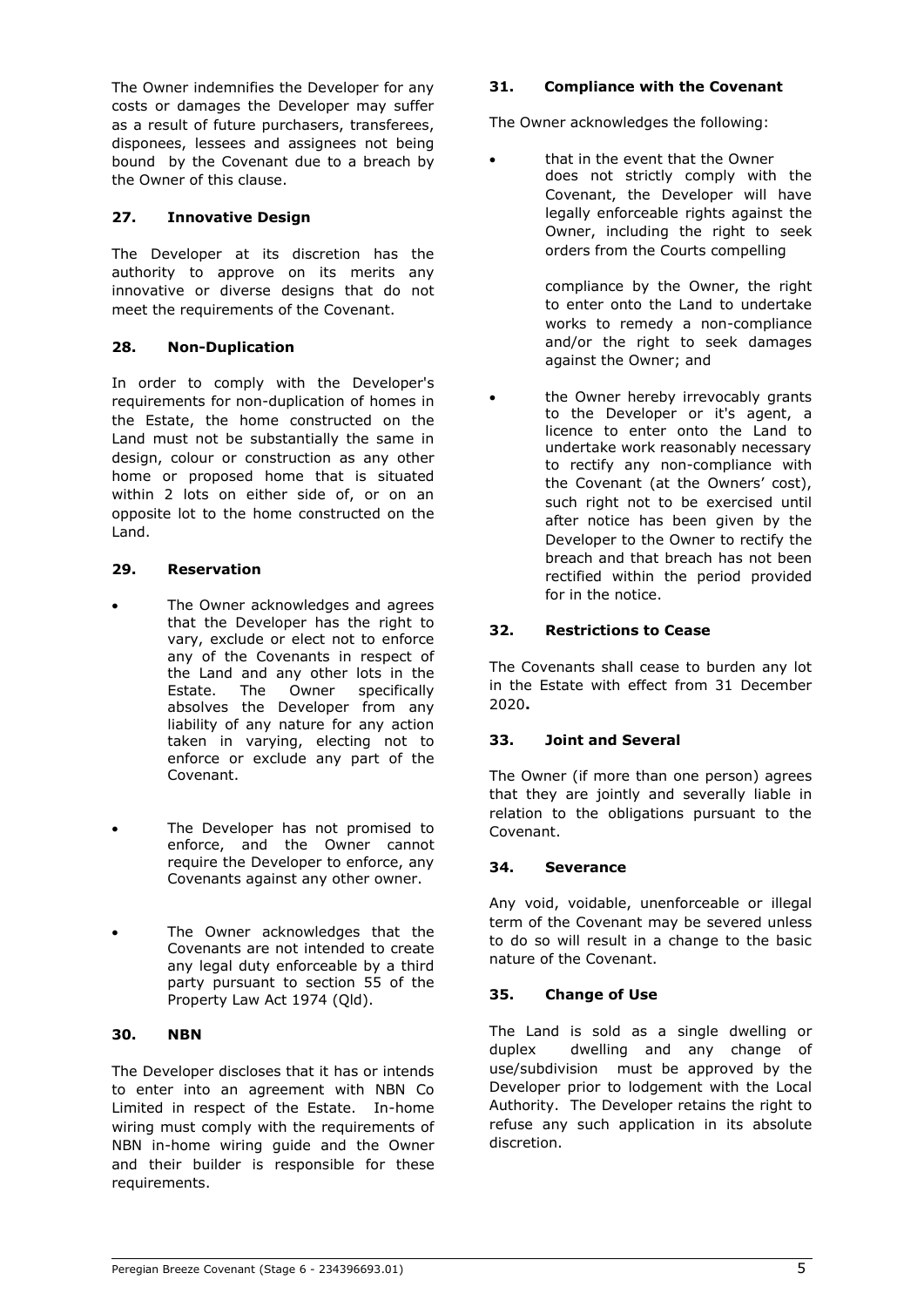The Owner indemnifies the Developer for any costs or damages the Developer may suffer as a result of future purchasers, transferees, disponees, lessees and assignees not being bound by the Covenant due to a breach by the Owner of this clause.

# **27. Innovative Design**

The Developer at its discretion has the authority to approve on its merits any innovative or diverse designs that do not meet the requirements of the Covenant.

# **28. Non-Duplication**

In order to comply with the Developer's requirements for non-duplication of homes in the Estate, the home constructed on the Land must not be substantially the same in design, colour or construction as any other home or proposed home that is situated within 2 lots on either side of, or on an opposite lot to the home constructed on the Land.

# **29. Reservation**

- The Owner acknowledges and agrees that the Developer has the right to vary, exclude or elect not to enforce any of the Covenants in respect of the Land and any other lots in the<br>Estate. The Owner specifically Estate. The  $\overrightarrow{0}$  wner absolves the Developer from any liability of any nature for any action taken in varying, electing not to enforce or exclude any part of the Covenant.
- The Developer has not promised to enforce, and the Owner cannot require the Developer to enforce, any Covenants against any other owner.
- The Owner acknowledges that the Covenants are not intended to create any legal duty enforceable by a third party pursuant to section 55 of the Property Law Act 1974 (Qld).

# **30. NBN**

The Developer discloses that it has or intends to enter into an agreement with NBN Co Limited in respect of the Estate. In-home wiring must comply with the requirements of NBN in-home wiring guide and the Owner and their builder is responsible for these requirements.

# **31. Compliance with the Covenant**

The Owner acknowledges the following:

 that in the event that the Owner does not strictly comply with the Covenant, the Developer will have legally enforceable rights against the Owner, including the right to seek orders from the Courts compelling

> compliance by the Owner, the right to enter onto the Land to undertake works to remedy a non-compliance and/or the right to seek damages against the Owner; and

 the Owner hereby irrevocably grants to the Developer or it's agent, a licence to enter onto the Land to undertake work reasonably necessary to rectify any non-compliance with the Covenant (at the Owners' cost), such right not to be exercised until after notice has been given by the Developer to the Owner to rectify the breach and that breach has not been rectified within the period provided for in the notice.

# **32. Restrictions to Cease**

The Covenants shall cease to burden any lot in the Estate with effect from 31 December 2020**.** 

# **33. Joint and Several**

The Owner (if more than one person) agrees that they are jointly and severally liable in relation to the obligations pursuant to the Covenant.

# **34. Severance**

Any void, voidable, unenforceable or illegal term of the Covenant may be severed unless to do so will result in a change to the basic nature of the Covenant.

# **35. Change of Use**

The Land is sold as a single dwelling or duplex dwelling and any change of use/subdivision must be approved by the Developer prior to lodgement with the Local Authority. The Developer retains the right to refuse any such application in its absolute discretion.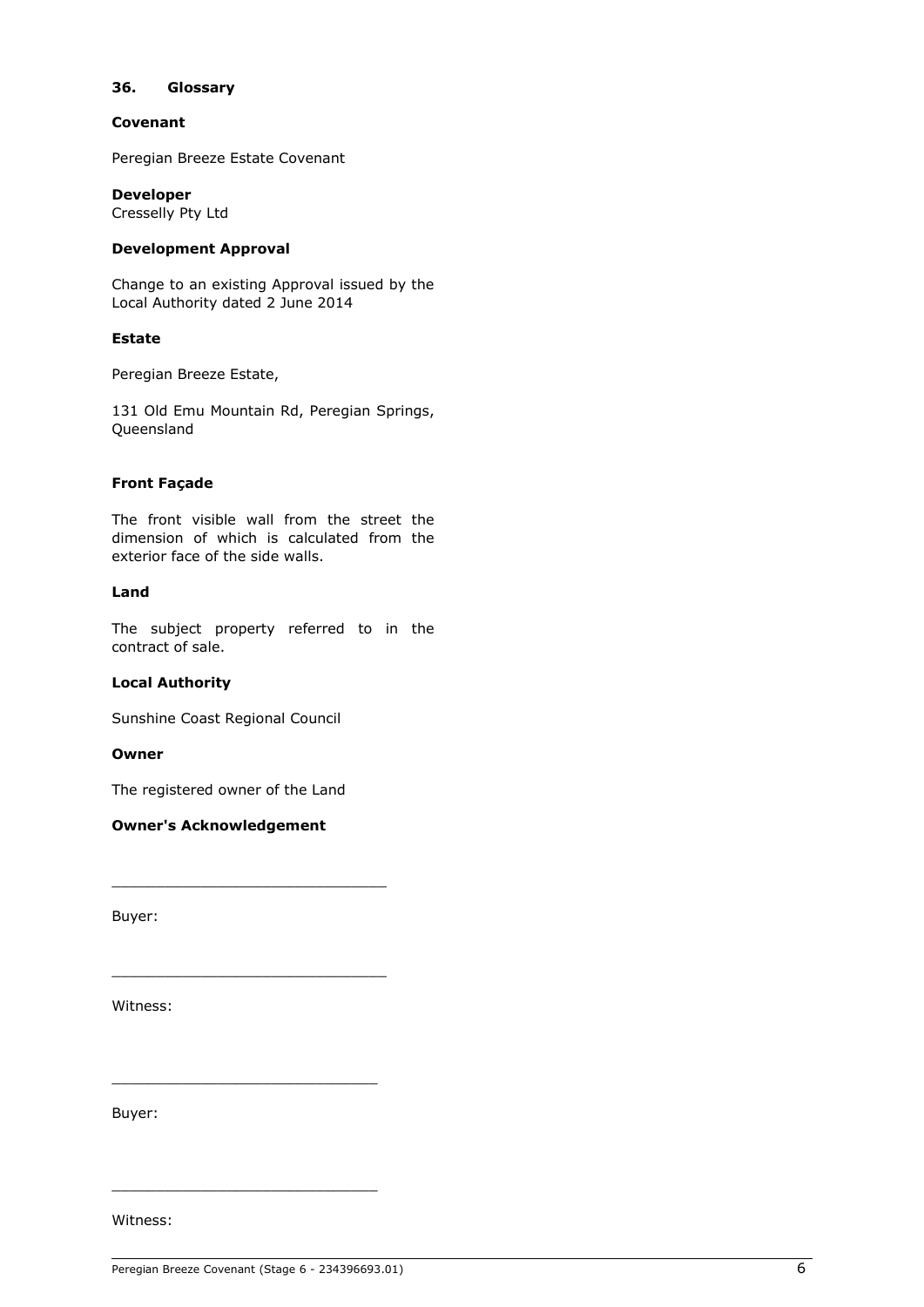#### **36. Glossary**

#### **Covenant**

Peregian Breeze Estate Covenant

#### **Developer**

Cresselly Pty Ltd

#### **Development Approval**

Change to an existing Approval issued by the Local Authority dated 2 June 2014

#### **Estate**

Peregian Breeze Estate,

131 Old Emu Mountain Rd, Peregian Springs, Queensland

#### **Front Façade**

The front visible wall from the street the dimension of which is calculated from the exterior face of the side walls.

#### **Land**

The subject property referred to in the contract of sale.

#### **Local Authority**

Sunshine Coast Regional Council

#### **Owner**

The registered owner of the Land

\_\_\_\_\_\_\_\_\_\_\_\_\_\_\_\_\_\_\_\_\_\_\_\_\_\_\_\_\_\_\_

\_\_\_\_\_\_\_\_\_\_\_\_\_\_\_\_\_\_\_\_\_\_\_\_\_\_\_\_\_\_\_

\_\_\_\_\_\_\_\_\_\_\_\_\_\_\_\_\_\_\_\_\_\_\_\_\_\_\_\_\_\_

\_\_\_\_\_\_\_\_\_\_\_\_\_\_\_\_\_\_\_\_\_\_\_\_\_\_\_\_\_\_

## **Owner's Acknowledgement**

Buyer:

Witness:

Buyer:

Witness: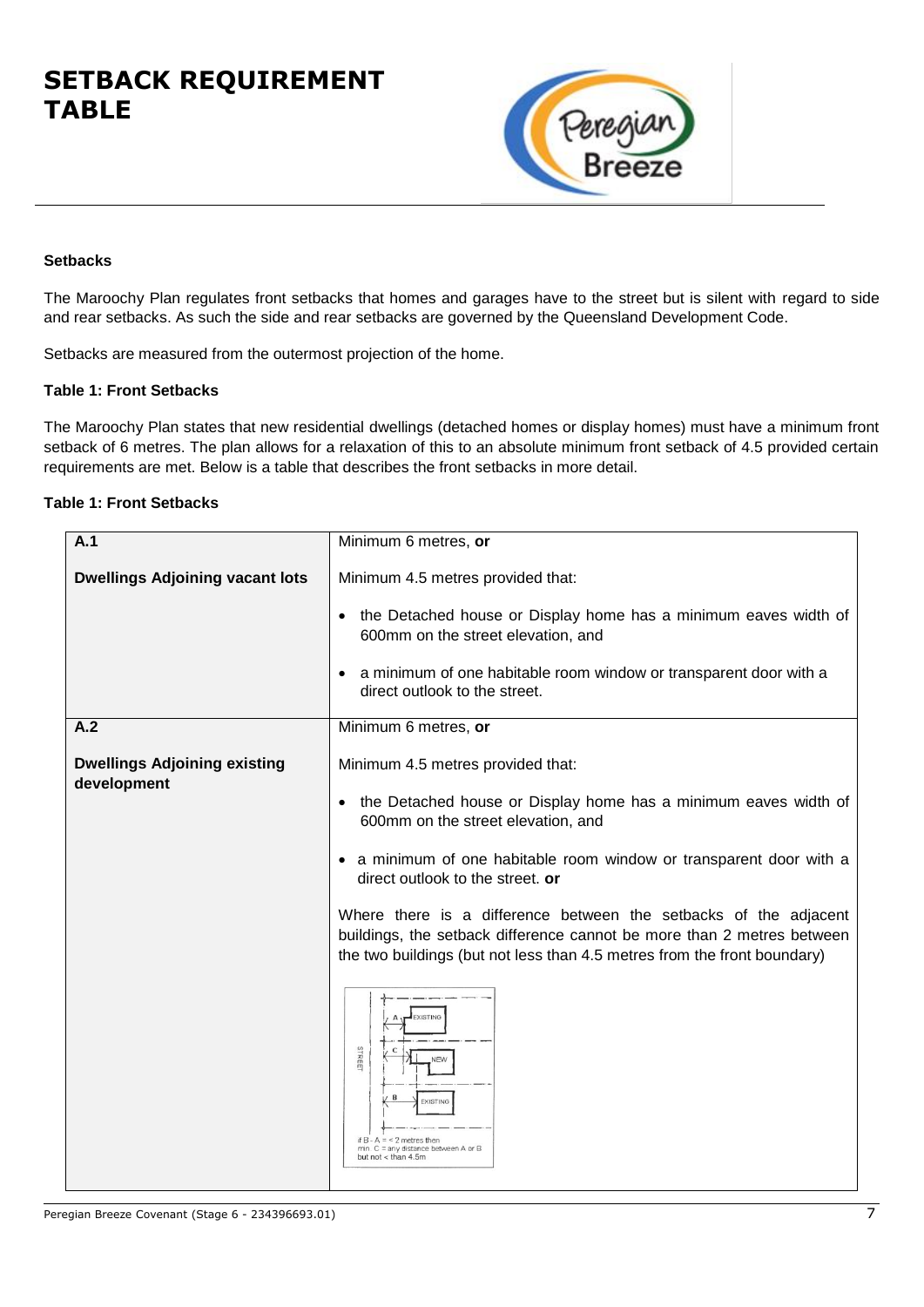# **SETBACK REQUIREMENT TABLE**



# **Setbacks**

The Maroochy Plan regulates front setbacks that homes and garages have to the street but is silent with regard to side and rear setbacks. As such the side and rear setbacks are governed by the Queensland Development Code.

Setbacks are measured from the outermost projection of the home.

### **Table 1: Front Setbacks**

The Maroochy Plan states that new residential dwellings (detached homes or display homes) must have a minimum front setback of 6 metres. The plan allows for a relaxation of this to an absolute minimum front setback of 4.5 provided certain requirements are met. Below is a table that describes the front setbacks in more detail.

# **Table 1: Front Setbacks**

| A.1                                                | Minimum 6 metres, or                                                                                                                                                                                                   |
|----------------------------------------------------|------------------------------------------------------------------------------------------------------------------------------------------------------------------------------------------------------------------------|
| <b>Dwellings Adjoining vacant lots</b>             | Minimum 4.5 metres provided that:                                                                                                                                                                                      |
|                                                    | the Detached house or Display home has a minimum eaves width of<br>600mm on the street elevation, and                                                                                                                  |
|                                                    | a minimum of one habitable room window or transparent door with a<br>direct outlook to the street.                                                                                                                     |
| A.2                                                | Minimum 6 metres, or                                                                                                                                                                                                   |
| <b>Dwellings Adjoining existing</b><br>development | Minimum 4.5 metres provided that:                                                                                                                                                                                      |
|                                                    | the Detached house or Display home has a minimum eaves width of<br>600mm on the street elevation, and                                                                                                                  |
|                                                    | a minimum of one habitable room window or transparent door with a<br>direct outlook to the street. or                                                                                                                  |
|                                                    | Where there is a difference between the setbacks of the adjacent<br>buildings, the setback difference cannot be more than 2 metres between<br>the two buildings (but not less than 4.5 metres from the front boundary) |
|                                                    | <b>EXISTING</b><br>STREET<br>C<br><b>NEW</b><br>В<br><b>EXISTING</b><br>if $B - A = 2$ metres then<br>$min$ . $C = any distance between A or B$<br>but not < than 4.5m                                                 |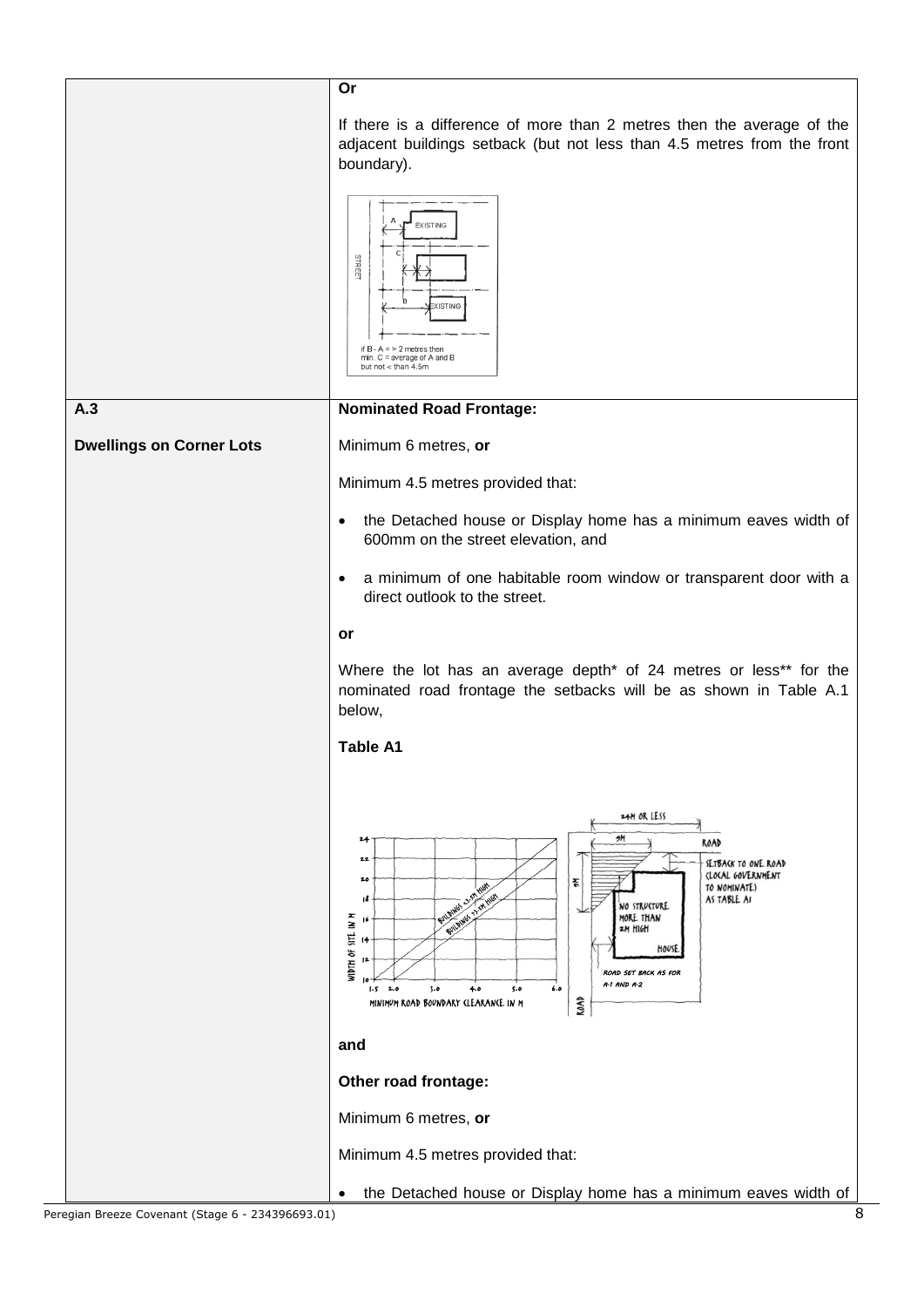|                                 | Or                                                                                                                                                                                                                                                                                                                                                                                                                           |
|---------------------------------|------------------------------------------------------------------------------------------------------------------------------------------------------------------------------------------------------------------------------------------------------------------------------------------------------------------------------------------------------------------------------------------------------------------------------|
|                                 | If there is a difference of more than 2 metres then the average of the<br>adjacent buildings setback (but not less than 4.5 metres from the front<br>boundary).                                                                                                                                                                                                                                                              |
|                                 | <b>EXISTING</b><br>STREET<br><b>ISTING</b><br>if $B - A = 2$ metres then<br>min. C = average of A and B<br>but not < than 4.5m                                                                                                                                                                                                                                                                                               |
| A.3                             | <b>Nominated Road Frontage:</b>                                                                                                                                                                                                                                                                                                                                                                                              |
| <b>Dwellings on Corner Lots</b> | Minimum 6 metres, or                                                                                                                                                                                                                                                                                                                                                                                                         |
|                                 | Minimum 4.5 metres provided that:                                                                                                                                                                                                                                                                                                                                                                                            |
|                                 | the Detached house or Display home has a minimum eaves width of<br>$\bullet$<br>600mm on the street elevation, and                                                                                                                                                                                                                                                                                                           |
|                                 | a minimum of one habitable room window or transparent door with a<br>$\bullet$<br>direct outlook to the street.                                                                                                                                                                                                                                                                                                              |
|                                 | or                                                                                                                                                                                                                                                                                                                                                                                                                           |
|                                 | Where the lot has an average depth <sup>*</sup> of 24 metres or less <sup>**</sup> for the<br>nominated road frontage the setbacks will be as shown in Table A.1<br>below,                                                                                                                                                                                                                                                   |
|                                 | <b>Table A1</b>                                                                                                                                                                                                                                                                                                                                                                                                              |
|                                 | 24M OR LESS<br>9M<br>24<br>ROAD<br>22<br>SETBACK TO ONE ROAD<br>(LOCAL GOVERNMENT<br>20<br>杀<br>TO NOMINATE)<br>Femanies 25.5M<br><b>T1.5M HIGH</b><br>AS TABLE AI<br>ı٤<br><b>NO STRUCTURE</b><br>MORE THAN<br>WIDTH OF SITE IN M<br><b>SUILDING</b><br>2M HIGH<br>14<br>HOUSE<br><b>ROAD SET BACK AS FOR</b><br>$A-1$ $AND$ $A-2$<br>$1.5$ 2.0<br>5.0<br>6.0<br>3.0<br>4.0<br>ROAD<br>MINIMUM ROAD BOUNDARY (LEARANCE IN M |
|                                 | and                                                                                                                                                                                                                                                                                                                                                                                                                          |
|                                 | Other road frontage:                                                                                                                                                                                                                                                                                                                                                                                                         |
|                                 | Minimum 6 metres, or                                                                                                                                                                                                                                                                                                                                                                                                         |
|                                 | Minimum 4.5 metres provided that:                                                                                                                                                                                                                                                                                                                                                                                            |
|                                 | the Detached house or Display home has a minimum eaves width of                                                                                                                                                                                                                                                                                                                                                              |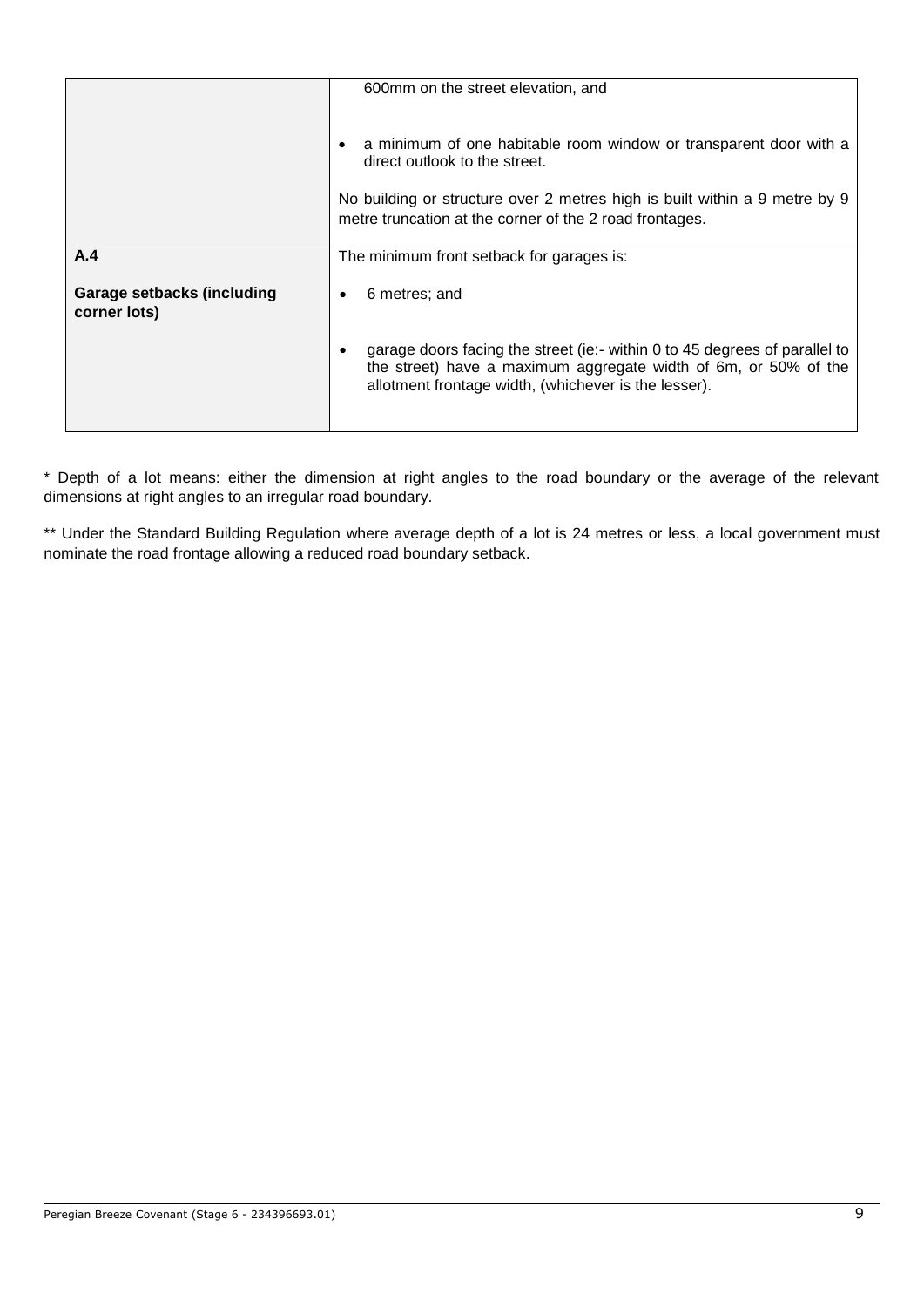|                                                   | 600mm on the street elevation, and                                                                                                                                                                                                          |
|---------------------------------------------------|---------------------------------------------------------------------------------------------------------------------------------------------------------------------------------------------------------------------------------------------|
|                                                   | a minimum of one habitable room window or transparent door with a<br>direct outlook to the street.<br>No building or structure over 2 metres high is built within a 9 metre by 9<br>metre truncation at the corner of the 2 road frontages. |
| A.4                                               | The minimum front setback for garages is:                                                                                                                                                                                                   |
| <b>Garage setbacks (including</b><br>corner lots) | 6 metres; and<br>٠                                                                                                                                                                                                                          |
|                                                   | garage doors facing the street (ie:- within 0 to 45 degrees of parallel to<br>the street) have a maximum aggregate width of 6m, or 50% of the<br>allotment frontage width, (whichever is the lesser).                                       |

\* Depth of a lot means: either the dimension at right angles to the road boundary or the average of the relevant dimensions at right angles to an irregular road boundary.

\*\* Under the Standard Building Regulation where average depth of a lot is 24 metres or less, a local government must nominate the road frontage allowing a reduced road boundary setback.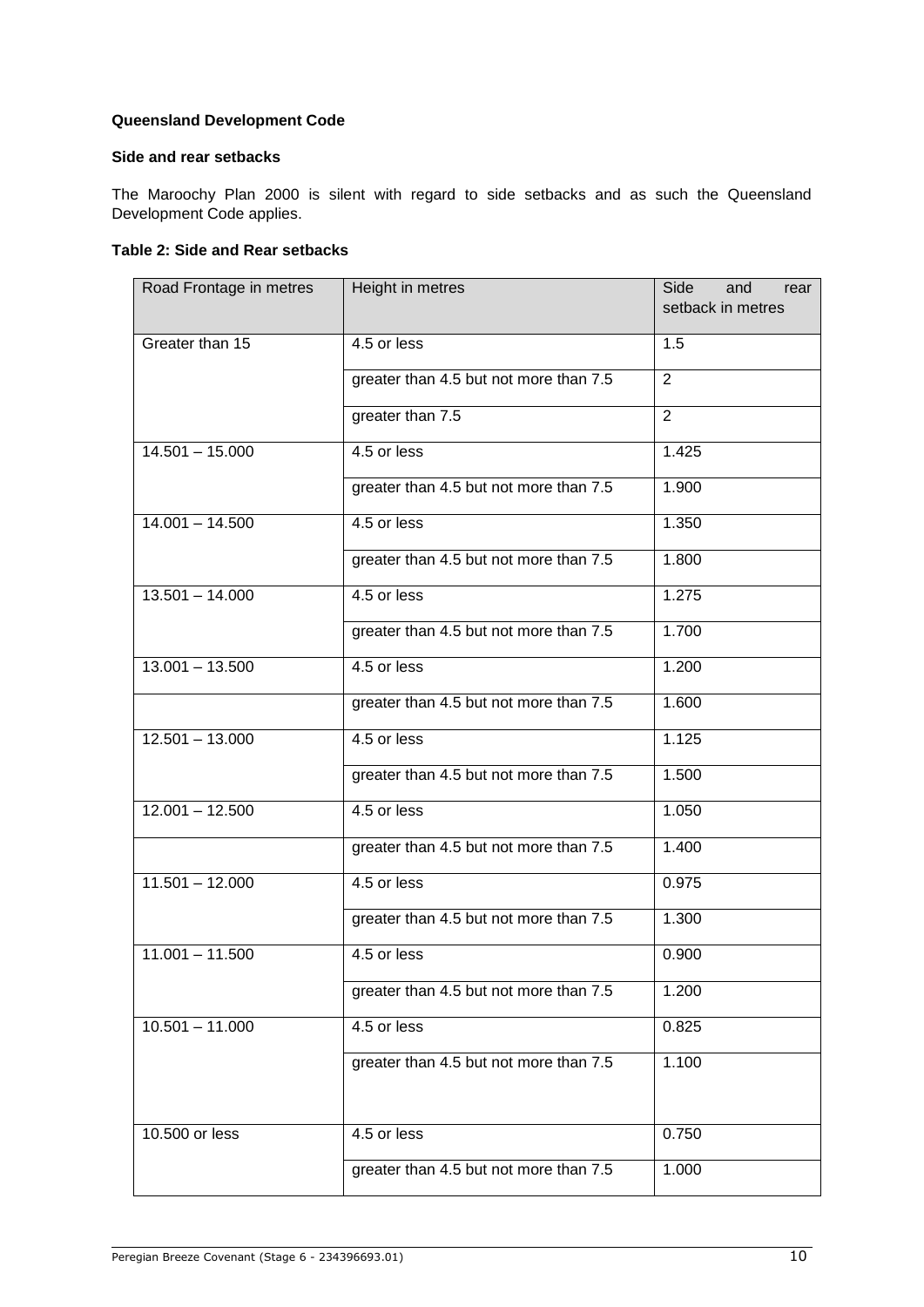# **Queensland Development Code**

### **Side and rear setbacks**

The Maroochy Plan 2000 is silent with regard to side setbacks and as such the Queensland Development Code applies.

# **Table 2: Side and Rear setbacks**

| Road Frontage in metres | Height in metres                       | Side<br>and<br>rear<br>setback in metres |
|-------------------------|----------------------------------------|------------------------------------------|
| Greater than 15         | 4.5 or less                            | 1.5                                      |
|                         | greater than 4.5 but not more than 7.5 | 2                                        |
|                         | greater than 7.5                       | $\overline{2}$                           |
| $14.501 - 15.000$       | 4.5 or less                            | 1.425                                    |
|                         | greater than 4.5 but not more than 7.5 | 1.900                                    |
| $14.001 - 14.500$       | 4.5 or less                            | 1.350                                    |
|                         | greater than 4.5 but not more than 7.5 | 1.800                                    |
| $13.501 - 14.000$       | 4.5 or less                            | 1.275                                    |
|                         | greater than 4.5 but not more than 7.5 | 1.700                                    |
| $13.001 - 13.500$       | 4.5 or less                            | 1.200                                    |
|                         | greater than 4.5 but not more than 7.5 | 1.600                                    |
| $12.501 - 13.000$       | 4.5 or less                            | 1.125                                    |
|                         | greater than 4.5 but not more than 7.5 | 1.500                                    |
| $12.001 - 12.500$       | 4.5 or less                            | 1.050                                    |
|                         | greater than 4.5 but not more than 7.5 | 1.400                                    |
| $11.501 - 12.000$       | $4.5$ or less                          | 0.975                                    |
|                         | greater than 4.5 but not more than 7.5 | 1.300                                    |
| $11.001 - 11.500$       | 4.5 or less                            | 0.900                                    |
|                         | greater than 4.5 but not more than 7.5 | 1.200                                    |
| $10.501 - 11.000$       | 4.5 or less                            | 0.825                                    |
|                         | greater than 4.5 but not more than 7.5 | 1.100                                    |
|                         |                                        |                                          |
| 10.500 or less          | 4.5 or less                            | 0.750                                    |
|                         | greater than 4.5 but not more than 7.5 | 1.000                                    |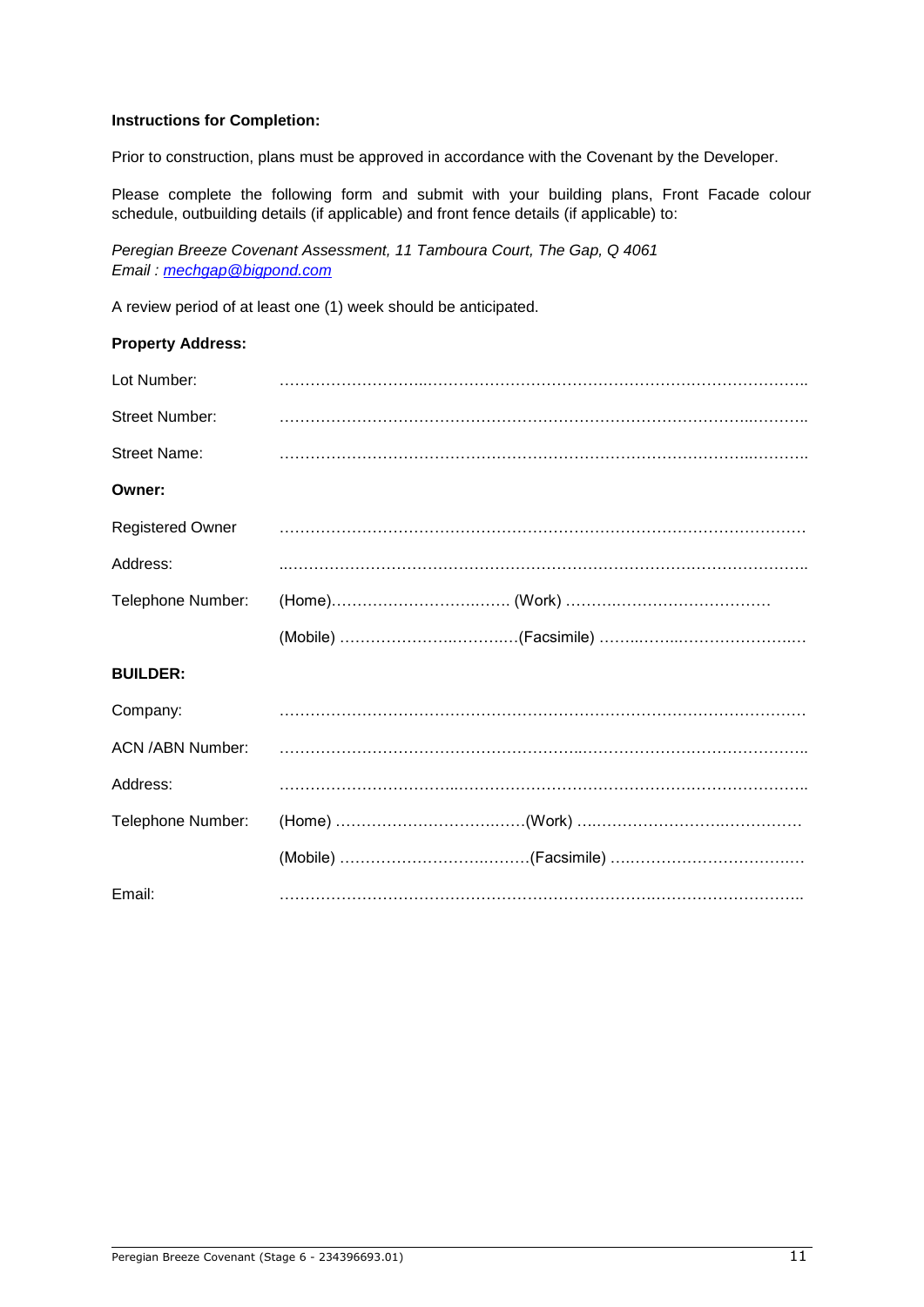# **Instructions for Completion:**

Prior to construction, plans must be approved in accordance with the Covenant by the Developer.

Please complete the following form and submit with your building plans, Front Facade colour schedule, outbuilding details (if applicable) and front fence details (if applicable) to:

*Peregian Breeze Covenant Assessment, 11 Tamboura Court, The Gap, Q 4061 Email : [mechgap@bigpond.com](mailto:mechgap@bigpond.com)*

A review period of at least one (1) week should be anticipated.

| <b>Property Address:</b> |  |
|--------------------------|--|
| Lot Number:              |  |
| <b>Street Number:</b>    |  |
| <b>Street Name:</b>      |  |
| Owner:                   |  |
| <b>Registered Owner</b>  |  |
| Address:                 |  |
| Telephone Number:        |  |
|                          |  |
|                          |  |
| <b>BUILDER:</b>          |  |
| Company:                 |  |
| <b>ACN /ABN Number:</b>  |  |
| Address:                 |  |
| Telephone Number:        |  |
|                          |  |